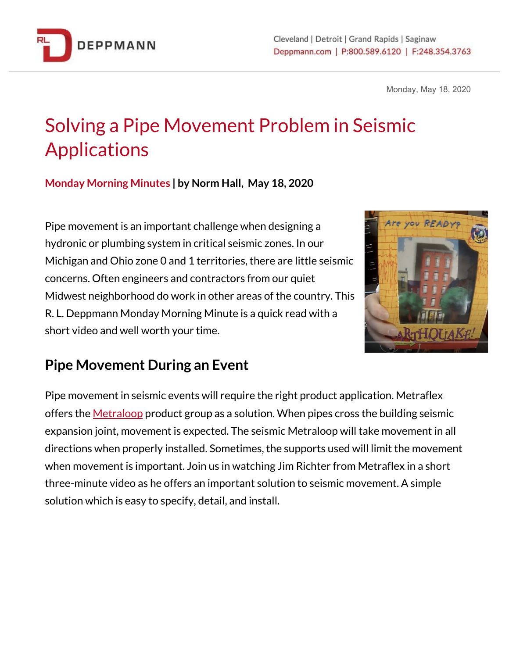

Monday, May 18, 2020

## Solving a Pipe Movement Problem in Seismic Applications

**Monday Morning Minutes | by Norm Hall, May 18, 2020**

Pipe movement is an important challenge when designing a hydronic or plumbing system in critical seismic zones. In our Michigan and Ohio zone 0 and 1 territories, there are little seismic concerns. Often engineers and contractors from our quiet Midwest neighborhood do work in other areas of the country. This R. L. Deppmann Monday Morning Minute is a quick read with a short video and well worth your time.



## **Pipe Movement During an Event**

Pipe movement in seismic events will require the right product application. Metraflex offers the [Metraloop](https://bit.ly/3btz5Wh) product group as a solution. When pipes cross the building seismic expansion joint, movement is expected. The seismic Metraloop will take movement in all directions when properly installed. Sometimes, the supports used will limit the movement when movement is important. Join us in watching Jim Richter from Metraflex in a short three-minute video as he offers an important solution to seismic movement. A simple solution which is easy to specify, detail, and install.